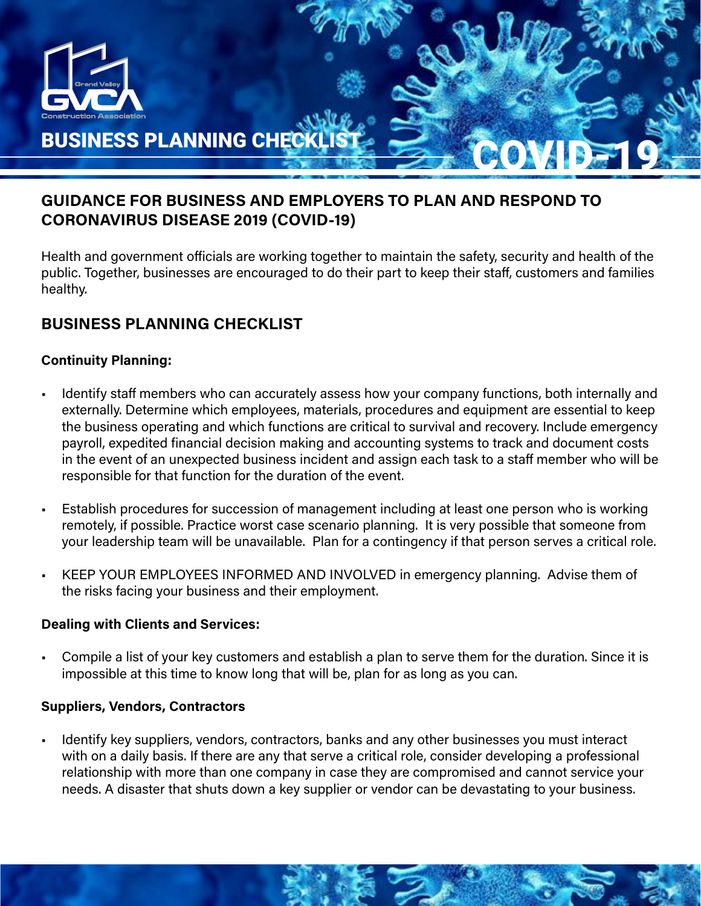

# GUIDANCE FOR BUSINESS AND EMPLOYERS TO PLAN AND RESPOND TO CORONAVIRUS DISEASE 2019 (COVID-19)

Health and government officials are working together to maintain the safety, security and health of the public. Together, businesses are encouraged to do their part to keep their staff, customers and families healthy.

# BUSINESS PLANNING CHECKLIST

# Continuity Planning:

- Identify staff members who can accurately assess how your company functions, both internally and externally. Determine which employees, materials, procedures and equipment are essential to keep the business operating and which functions are critical to survival and recovery. Include emergency payroll, expedited financial decision making and accounting systems to track and document costs in the event of an unexpected business incident and assign each task to a staff member who will be responsible for that function for the duration of the event.
- Establish procedures for succession of management including at least one person who is working remotely, if possible. Practice worst case scenario planning. It is very possible that someone from your leadership team will be unavailable. Plan for a contingency if that person serves a critical role.
- KEEP YOUR EMPLOYEES INFORMED AND INVOLVED in emergency planning. Advise them of the risks facing your business and their employment.

## Dealing with Clients and Services:

• Compile a list of your key customers and establish a plan to serve them for the duration. Since it is impossible at this time to know long that will be, plan for as long as you can.

## Suppliers, Vendors, Contractors

• Identify key suppliers, vendors, contractors, banks and any other businesses you must interact with on a daily basis. If there are any that serve a critical role, consider developing a professional relationship with more than one company in case they are compromised and cannot service your needs. A disaster that shuts down a key supplier or vendor can be devastating to your business.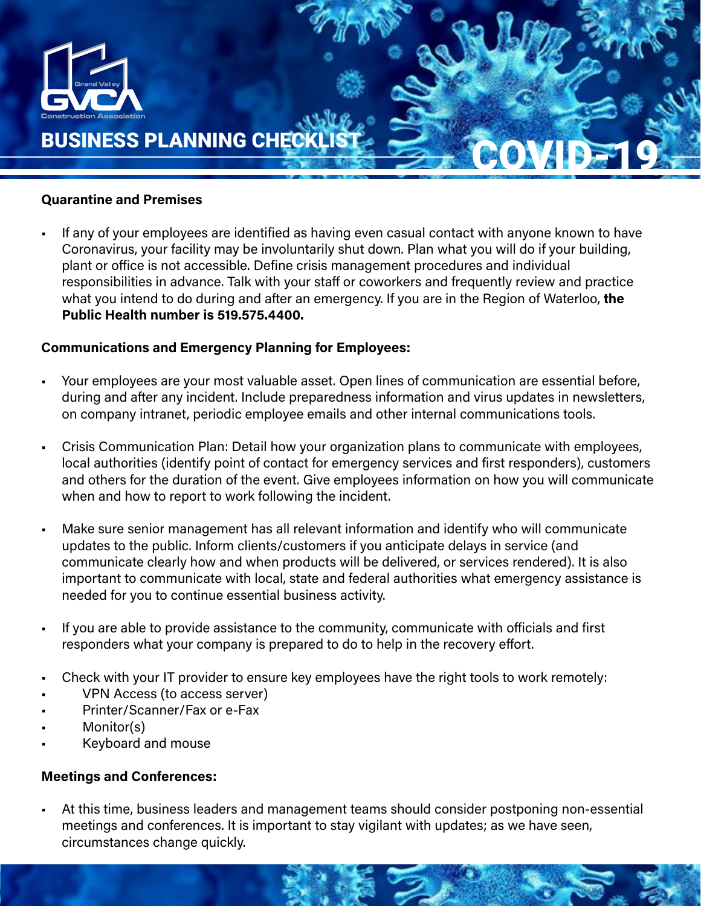

#### Quarantine and Premises

• If any of your employees are identified as having even casual contact with anyone known to have Coronavirus, your facility may be involuntarily shut down. Plan what you will do if your building, plant or office is not accessible. Define crisis management procedures and individual responsibilities in advance. Talk with your staff or coworkers and frequently review and practice what you intend to do during and after an emergency. If you are in the Region of Waterloo, the Public Health number is 519.575.4400.

## Communications and Emergency Planning for Employees:

- Your employees are your most valuable asset. Open lines of communication are essential before, during and after any incident. Include preparedness information and virus updates in newsletters, on company intranet, periodic employee emails and other internal communications tools.
- Crisis Communication Plan: Detail how your organization plans to communicate with employees, local authorities (identify point of contact for emergency services and first responders), customers and others for the duration of the event. Give employees information on how you will communicate when and how to report to work following the incident.
- Make sure senior management has all relevant information and identify who will communicate updates to the public. Inform clients/customers if you anticipate delays in service (and communicate clearly how and when products will be delivered, or services rendered). It is also important to communicate with local, state and federal authorities what emergency assistance is needed for you to continue essential business activity.
- If you are able to provide assistance to the community, communicate with officials and first responders what your company is prepared to do to help in the recovery effort.
- Check with your IT provider to ensure key employees have the right tools to work remotely:
- VPN Access (to access server)
- Printer/Scanner/Fax or e-Fax
- Monitor(s)
- Keyboard and mouse

## Meetings and Conferences:

• At this time, business leaders and management teams should consider postponing non-essential meetings and conferences. It is important to stay vigilant with updates; as we have seen, circumstances change quickly.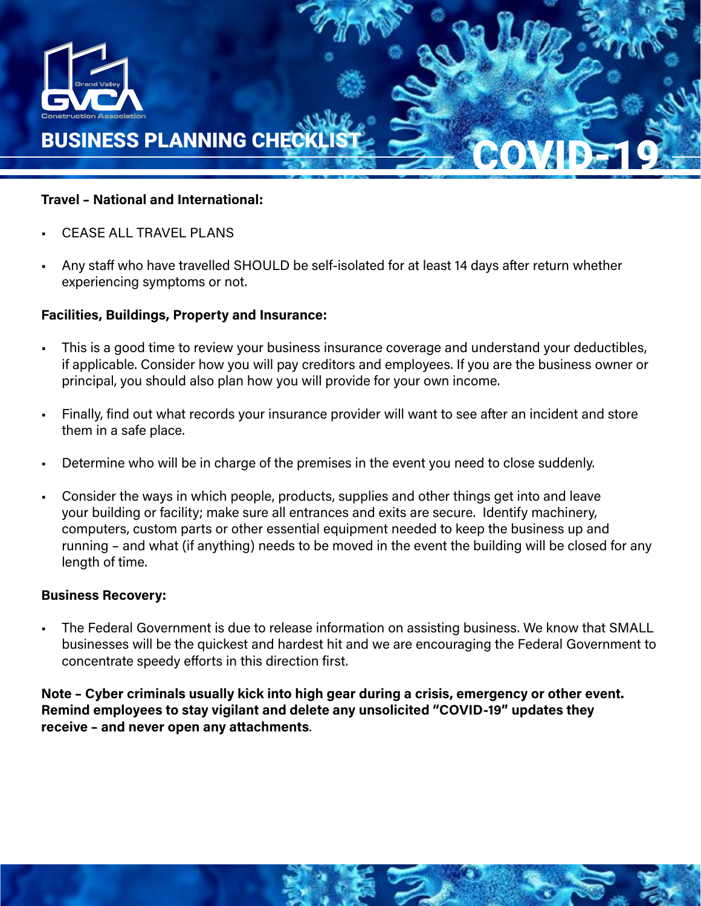

#### Travel – National and International:

- CEASE ALL TRAVEL PLANS
- Any staff who have travelled SHOULD be self-isolated for at least 14 days after return whether experiencing symptoms or not.

## Facilities, Buildings, Property and Insurance:

- This is a good time to review your business insurance coverage and understand your deductibles, if applicable. Consider how you will pay creditors and employees. If you are the business owner or principal, you should also plan how you will provide for your own income.
- Finally, find out what records your insurance provider will want to see after an incident and store them in a safe place.
- Determine who will be in charge of the premises in the event you need to close suddenly.
- Consider the ways in which people, products, supplies and other things get into and leave your building or facility; make sure all entrances and exits are secure. Identify machinery, computers, custom parts or other essential equipment needed to keep the business up and running – and what (if anything) needs to be moved in the event the building will be closed for any length of time.

#### Business Recovery:

• The Federal Government is due to release information on assisting business. We know that SMALL businesses will be the quickest and hardest hit and we are encouraging the Federal Government to concentrate speedy efforts in this direction first.

Note – Cyber criminals usually kick into high gear during a crisis, emergency or other event. Remind employees to stay vigilant and delete any unsolicited " COVID-19" updates they receive – and never open any attachments.